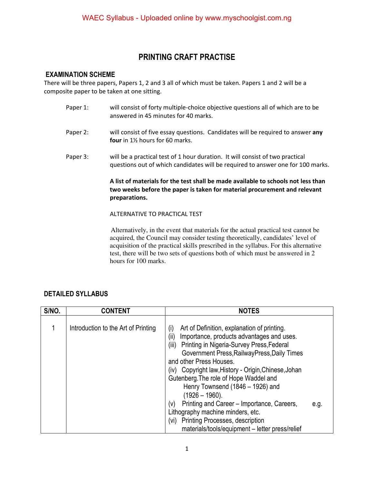## **PRINTING CRAFT PRACTISE**

#### **EXAMINATION SCHEME**

There will be three papers, Papers 1, 2 and 3 all of which must be taken. Papers 1 and 2 will be a composite paper to be taken at one sitting.

- Paper 1: will consist of forty multiple-choice objective questions all of which are to be answered in 45 minutes for 40 marks.
- Paper 2: will consist of five essay questions. Candidates will be required to answer **any four** in 1½ hours for 60 marks.
- Paper 3: will be a practical test of 1 hour duration. It will consist of two practical questions out of which candidates will be required to answer one for 100 marks.

#### **A list of materials for the test shall be made available to schools not less than two weeks before the paper is taken for material procurement and relevant preparations.**

#### ALTERNATIVE TO PRACTICAL TEST

 Alternatively, in the event that materials for the actual practical test cannot be acquired, the Council may consider testing theoretically, candidates' level of acquisition of the practical skills prescribed in the syllabus. For this alternative test, there will be two sets of questions both of which must be answered in 2 hours for 100 marks.

#### **DETAILED SYLLABUS**

| S/NO. | <b>CONTENT</b>                      | <b>NOTES</b>                                                                                                                                                                                                                                                                                                                                                                                                                                                                                                                                     |
|-------|-------------------------------------|--------------------------------------------------------------------------------------------------------------------------------------------------------------------------------------------------------------------------------------------------------------------------------------------------------------------------------------------------------------------------------------------------------------------------------------------------------------------------------------------------------------------------------------------------|
|       | Introduction to the Art of Printing | Art of Definition, explanation of printing.<br>(i)<br>Importance, products advantages and uses.<br>(ii)<br>Printing in Nigeria-Survey Press, Federal<br>(iii)<br>Government Press, Railway Press, Daily Times<br>and other Press Houses.<br>(iv) Copyright law, History - Origin, Chinese, Johan<br>Gutenberg. The role of Hope Waddel and<br>Henry Townsend (1846 – 1926) and<br>$(1926 - 1960)$ .<br>Printing and Career - Importance, Careers,<br>(V)<br>e.g.<br>Lithography machine minders, etc.<br>Printing Processes, description<br>(vi) |
|       |                                     | materials/tools/equipment - letter press/relief                                                                                                                                                                                                                                                                                                                                                                                                                                                                                                  |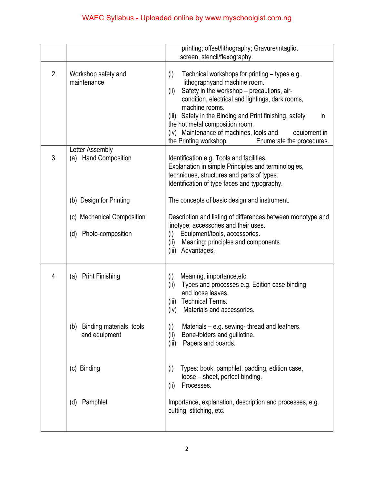|                |                                                  | printing; offset/lithography; Gravure/intaglio,<br>screen, stencil/flexography.                                                                                                                                                                                                                                                                                                                                                           |
|----------------|--------------------------------------------------|-------------------------------------------------------------------------------------------------------------------------------------------------------------------------------------------------------------------------------------------------------------------------------------------------------------------------------------------------------------------------------------------------------------------------------------------|
| $\overline{2}$ | Workshop safety and<br>maintenance               | (i)<br>Technical workshops for printing – types e.g.<br>lithographyand machine room.<br>Safety in the workshop - precautions, air-<br>(ii)<br>condition, electrical and lightings, dark rooms,<br>machine rooms.<br>Safety in the Binding and Print finishing, safety<br>(iii)<br>in<br>the hot metal composition room.<br>(iv) Maintenance of machines, tools and<br>equipment in<br>the Printing workshop,<br>Enumerate the procedures. |
| 3              | Letter Assembly<br>(a) Hand Composition          | Identification e.g. Tools and facilities.<br>Explanation in simple Principles and terminologies,<br>techniques, structures and parts of types.<br>Identification of type faces and typography.                                                                                                                                                                                                                                            |
|                | (b) Design for Printing                          | The concepts of basic design and instrument.                                                                                                                                                                                                                                                                                                                                                                                              |
|                | (c) Mechanical Composition                       | Description and listing of differences between monotype and                                                                                                                                                                                                                                                                                                                                                                               |
|                | Photo-composition<br>(d)                         | linotype; accessories and their uses.<br>Equipment/tools, accessories.<br>(i)<br>(ii)<br>Meaning: principles and components<br>Advantages.<br>(iii)                                                                                                                                                                                                                                                                                       |
| 4              | <b>Print Finishing</b><br>(a)                    | Meaning, importance, etc<br>(i)<br>Types and processes e.g. Edition case binding<br>(ii)<br>and loose leaves.<br><b>Technical Terms.</b><br>(iii)<br>(iv)<br>Materials and accessories.                                                                                                                                                                                                                                                   |
|                | Binding materials, tools<br>(b)<br>and equipment | Materials $-$ e.g. sewing-thread and leathers.<br>(i)<br>Bone-folders and guillotine.<br>(ii)<br>Papers and boards.<br>(iii)                                                                                                                                                                                                                                                                                                              |
|                | (c) Binding                                      | Types: book, pamphlet, padding, edition case,<br>(i)<br>loose – sheet, perfect binding.<br>Processes.<br>(ii)                                                                                                                                                                                                                                                                                                                             |
|                | Pamphlet<br>(d)                                  | Importance, explanation, description and processes, e.g.<br>cutting, stitching, etc.                                                                                                                                                                                                                                                                                                                                                      |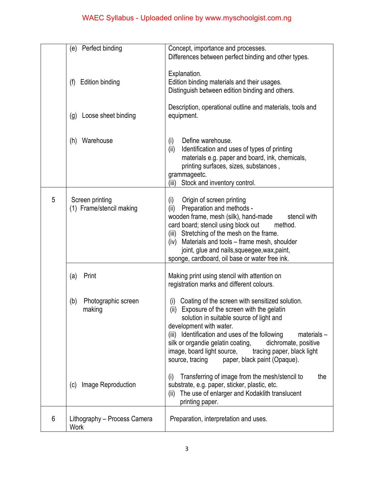|   | Perfect binding<br>(e)                      | Concept, importance and processes.<br>Differences between perfect binding and other types.                                                                                                                                                                                                                                                                                                                                      |
|---|---------------------------------------------|---------------------------------------------------------------------------------------------------------------------------------------------------------------------------------------------------------------------------------------------------------------------------------------------------------------------------------------------------------------------------------------------------------------------------------|
|   | Edition binding<br>(f)                      | Explanation.<br>Edition binding materials and their usages.<br>Distinguish between edition binding and others.                                                                                                                                                                                                                                                                                                                  |
|   | Loose sheet binding<br>(g)                  | Description, operational outline and materials, tools and<br>equipment.                                                                                                                                                                                                                                                                                                                                                         |
|   | Warehouse<br>(h)                            | Define warehouse.<br>(i)<br>(ii)<br>Identification and uses of types of printing<br>materials e.g. paper and board, ink, chemicals,<br>printing surfaces, sizes, substances,<br>grammageetc.<br>Stock and inventory control.<br>(iii)                                                                                                                                                                                           |
| 5 | Screen printing<br>(1) Frame/stencil making | Origin of screen printing<br>(i)<br>Preparation and methods -<br>(ii)<br>wooden frame, mesh (silk), hand-made<br>stencil with<br>card board; stencil using block out<br>method.<br>(iii) Stretching of the mesh on the frame.<br>Materials and tools – frame mesh, shoulder<br>(iv)<br>joint, glue and nails, squeegee, wax, paint,<br>sponge, cardboard, oil base or water free ink.                                           |
|   | Print<br>(a)                                | Making print using stencil with attention on<br>registration marks and different colours.                                                                                                                                                                                                                                                                                                                                       |
|   | Photographic screen<br>(b)<br>making        | Coating of the screen with sensitized solution.<br>(i)<br>Exposure of the screen with the gelatin<br>(ii)<br>solution in suitable source of light and<br>development with water.<br>(iii) Identification and uses of the following<br>$materials -$<br>silk or organdie gelatin coating,<br>dichromate, positive<br>image, board light source,<br>tracing paper, black light<br>source, tracing<br>paper, black paint (Opaque). |
|   | Image Reproduction<br>(c)                   | Transferring of image from the mesh/stencil to<br>the<br>(i)<br>substrate, e.g. paper, sticker, plastic, etc.<br>The use of enlarger and Kodaklith translucent<br>(ii)<br>printing paper.                                                                                                                                                                                                                                       |
| 6 | Lithography - Process Camera<br><b>Work</b> | Preparation, interpretation and uses.                                                                                                                                                                                                                                                                                                                                                                                           |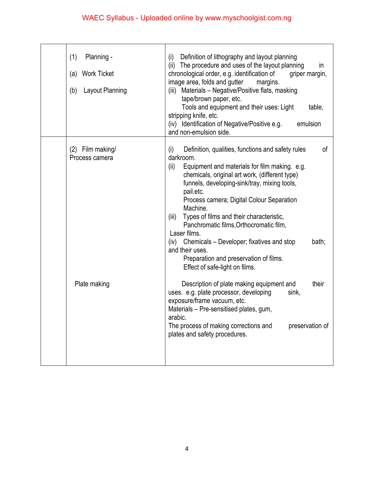# WAEC Syllabus - Uploaded online by www.myschoolgist.com.ng

| (1)<br>Planning -<br><b>Work Ticket</b><br>(a)<br>Layout Planning<br>(b) | Definition of lithography and layout planning<br>(i)<br>The procedure and uses of the layout planning<br>(ii)<br>in<br>chronological order, e.g. identification of<br>griper margin,<br>image area, folds and gutter<br>margins.<br>Materials - Negative/Positive flats, masking<br>(iii)<br>tape/brown paper, etc.<br>Tools and equipment and their uses: Light<br>table,<br>stripping knife, etc.<br>(iv) Identification of Negative/Positive e.g.<br>emulsion<br>and non-emulsion side. |
|--------------------------------------------------------------------------|--------------------------------------------------------------------------------------------------------------------------------------------------------------------------------------------------------------------------------------------------------------------------------------------------------------------------------------------------------------------------------------------------------------------------------------------------------------------------------------------|
| $(2)$ Film making/<br>Process camera                                     | Definition, qualities, functions and safety rules<br>0f<br>(i)<br>darkroom.<br>(ii)<br>Equipment and materials for film making. e.g.<br>chemicals, original art work, (different type)<br>funnels, developing-sink/tray, mixing tools,<br>pail.etc.<br>Process camera; Digital Colour Separation<br>Machine.<br>Types of films and their characteristic,<br>(iii)<br>Panchromatic films, Orthocromatic film,<br>Laser films.                                                               |
| Plate making                                                             | (iv) Chemicals – Developer; fixatives and stop<br>bath;<br>and their uses.<br>Preparation and preservation of films.<br>Effect of safe-light on films.<br>Description of plate making equipment and<br>their<br>uses. e.g. plate processor, developing<br>sink,<br>exposure/frame vacuum, etc.<br>Materials - Pre-sensitised plates, gum,<br>arabic.<br>The process of making corrections and<br>preservation of<br>plates and safety procedures.                                          |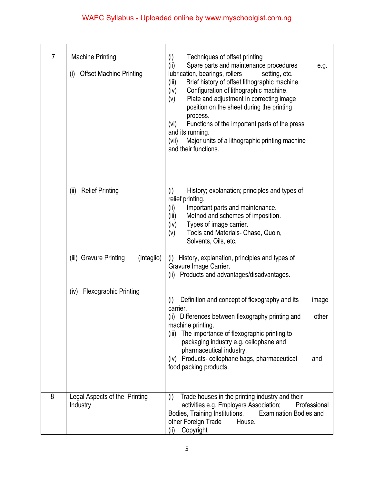# WAEC Syllabus - Uploaded online by www.myschoolgist.com.ng

| 7 | <b>Machine Printing</b><br><b>Offset Machine Printing</b><br>(i) | Techniques of offset printing<br>(i)<br>Spare parts and maintenance procedures<br>(ii)<br>e.g.<br>lubrication, bearings, rollers<br>setting, etc.<br>Brief history of offset lithographic machine.<br>(iii)<br>Configuration of lithographic machine.<br>(iv)<br>Plate and adjustment in correcting image<br>(v)<br>position on the sheet during the printing<br>process.<br>Functions of the important parts of the press<br>(vi)<br>and its running.<br>(vii)<br>Major units of a lithographic printing machine<br>and their functions. |
|---|------------------------------------------------------------------|-------------------------------------------------------------------------------------------------------------------------------------------------------------------------------------------------------------------------------------------------------------------------------------------------------------------------------------------------------------------------------------------------------------------------------------------------------------------------------------------------------------------------------------------|
|   | <b>Relief Printing</b><br>(ii)                                   | History; explanation; principles and types of<br>(i)<br>relief printing.<br>(ii)<br>Important parts and maintenance.<br>Method and schemes of imposition.<br>(iii)<br>Types of image carrier.<br>(iv)<br>Tools and Materials- Chase, Quoin,<br>(v)<br>Solvents, Oils, etc.                                                                                                                                                                                                                                                                |
|   | (iii) Gravure Printing<br>(Intaglio)                             | History, explanation, principles and types of<br>(i)<br>Gravure Image Carrier.<br>(ii) Products and advantages/disadvantages.                                                                                                                                                                                                                                                                                                                                                                                                             |
|   | <b>Flexographic Printing</b><br>(iv)                             | Definition and concept of flexography and its<br>(i)<br>image<br>carrier.<br>(ii) Differences between flexography printing and<br>other<br>machine printing.<br>(iii) The importance of flexographic printing to<br>packaging industry e.g. cellophane and<br>pharmaceutical industry.<br>(iv) Products- cellophane bags, pharmaceutical<br>and<br>food packing products.                                                                                                                                                                 |
| 8 | Legal Aspects of the Printing<br>Industry                        | Trade houses in the printing industry and their<br>(i)<br>activities e.g. Employers Association;<br>Professional<br>Bodies, Training Institutions,<br><b>Examination Bodies and</b><br>other Foreign Trade<br>House.<br>Copyright<br>(ii)                                                                                                                                                                                                                                                                                                 |